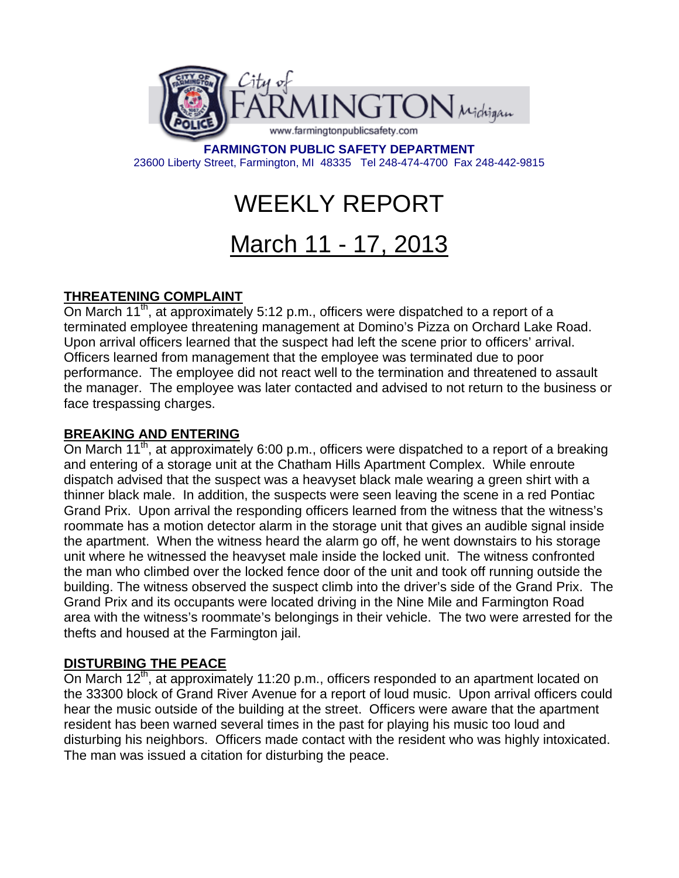

**FARMINGTON PUBLIC SAFETY DEPARTMENT**  23600 Liberty Street, Farmington, MI 48335 Tel 248-474-4700 Fax 248-442-9815

# WEEKLY REPORT

# March 11 - 17, 2013

# **THREATENING COMPLAINT**

On March  $11^{th}$ , at approximately 5:12 p.m., officers were dispatched to a report of a terminated employee threatening management at Domino's Pizza on Orchard Lake Road. Upon arrival officers learned that the suspect had left the scene prior to officers' arrival. Officers learned from management that the employee was terminated due to poor performance. The employee did not react well to the termination and threatened to assault the manager. The employee was later contacted and advised to not return to the business or face trespassing charges.

## **BREAKING AND ENTERING**

On March  $11<sup>th</sup>$ , at approximately 6:00 p.m., officers were dispatched to a report of a breaking and entering of a storage unit at the Chatham Hills Apartment Complex. While enroute dispatch advised that the suspect was a heavyset black male wearing a green shirt with a thinner black male. In addition, the suspects were seen leaving the scene in a red Pontiac Grand Prix. Upon arrival the responding officers learned from the witness that the witness's roommate has a motion detector alarm in the storage unit that gives an audible signal inside the apartment. When the witness heard the alarm go off, he went downstairs to his storage unit where he witnessed the heavyset male inside the locked unit. The witness confronted the man who climbed over the locked fence door of the unit and took off running outside the building. The witness observed the suspect climb into the driver's side of the Grand Prix. The Grand Prix and its occupants were located driving in the Nine Mile and Farmington Road area with the witness's roommate's belongings in their vehicle. The two were arrested for the thefts and housed at the Farmington jail.

#### **DISTURBING THE PEACE**

On March  $12^{th}$ , at approximately 11:20 p.m., officers responded to an apartment located on the 33300 block of Grand River Avenue for a report of loud music. Upon arrival officers could hear the music outside of the building at the street. Officers were aware that the apartment resident has been warned several times in the past for playing his music too loud and disturbing his neighbors. Officers made contact with the resident who was highly intoxicated. The man was issued a citation for disturbing the peace.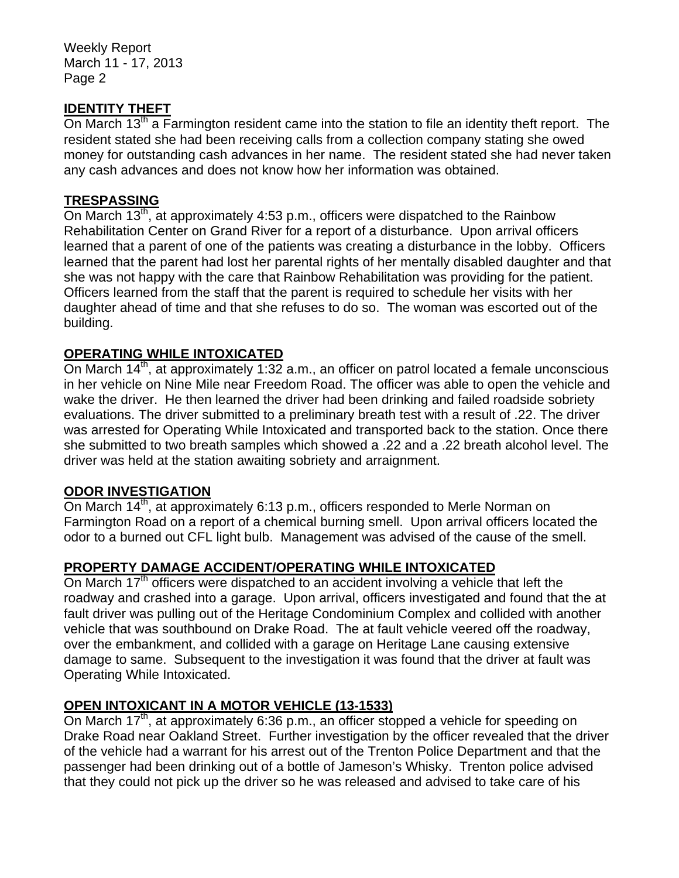Weekly Report March 11 - 17, 2013 Page 2

#### **IDENTITY THEFT**

On March  $13<sup>th</sup>$  a Farmington resident came into the station to file an identity theft report. The resident stated she had been receiving calls from a collection company stating she owed money for outstanding cash advances in her name. The resident stated she had never taken any cash advances and does not know how her information was obtained.

#### **TRESPASSING**

On March  $13<sup>th</sup>$ , at approximately 4:53 p.m., officers were dispatched to the Rainbow Rehabilitation Center on Grand River for a report of a disturbance. Upon arrival officers learned that a parent of one of the patients was creating a disturbance in the lobby. Officers learned that the parent had lost her parental rights of her mentally disabled daughter and that she was not happy with the care that Rainbow Rehabilitation was providing for the patient. Officers learned from the staff that the parent is required to schedule her visits with her daughter ahead of time and that she refuses to do so. The woman was escorted out of the building.

## **OPERATING WHILE INTOXICATED**

On March 14<sup>th</sup>, at approximately 1:32 a.m., an officer on patrol located a female unconscious in her vehicle on Nine Mile near Freedom Road. The officer was able to open the vehicle and wake the driver. He then learned the driver had been drinking and failed roadside sobriety evaluations. The driver submitted to a preliminary breath test with a result of .22. The driver was arrested for Operating While Intoxicated and transported back to the station. Once there she submitted to two breath samples which showed a .22 and a .22 breath alcohol level. The driver was held at the station awaiting sobriety and arraignment.

#### **ODOR INVESTIGATION**

On March 14<sup>th</sup>, at approximately 6:13 p.m., officers responded to Merle Norman on Farmington Road on a report of a chemical burning smell. Upon arrival officers located the odor to a burned out CFL light bulb. Management was advised of the cause of the smell.

#### **PROPERTY DAMAGE ACCIDENT/OPERATING WHILE INTOXICATED**

On March  $17<sup>th</sup>$  officers were dispatched to an accident involving a vehicle that left the roadway and crashed into a garage. Upon arrival, officers investigated and found that the at fault driver was pulling out of the Heritage Condominium Complex and collided with another vehicle that was southbound on Drake Road. The at fault vehicle veered off the roadway, over the embankment, and collided with a garage on Heritage Lane causing extensive damage to same. Subsequent to the investigation it was found that the driver at fault was Operating While Intoxicated.

#### **OPEN INTOXICANT IN A MOTOR VEHICLE (13-1533)**

On March  $17<sup>th</sup>$ , at approximately 6:36 p.m., an officer stopped a vehicle for speeding on Drake Road near Oakland Street. Further investigation by the officer revealed that the driver of the vehicle had a warrant for his arrest out of the Trenton Police Department and that the passenger had been drinking out of a bottle of Jameson's Whisky. Trenton police advised that they could not pick up the driver so he was released and advised to take care of his